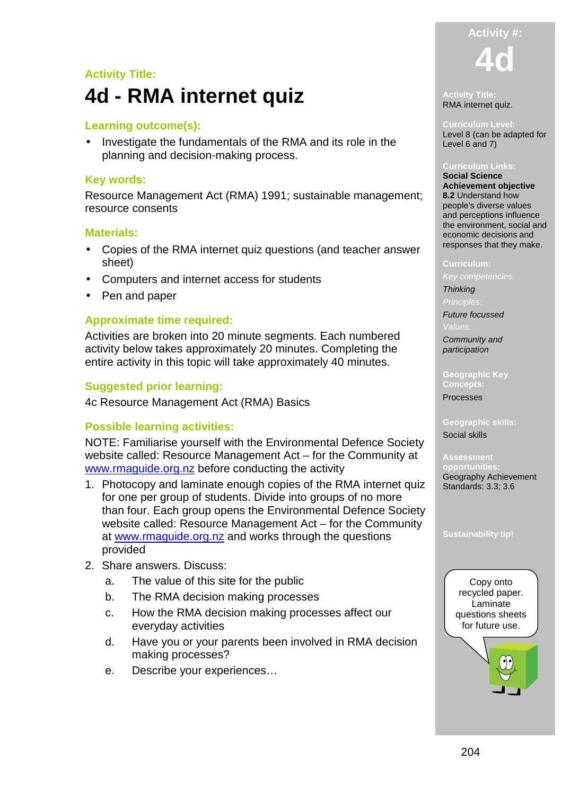# **Activity Title: 4d - RMA internet quiz**

# **Learning outcome(s):**

• Investigate the fundamentals of the RMA and its role in the planning and decision-making process.

### **Key words:**

Resource Management Act (RMA) 1991; sustainable management; resource consents

#### **Materials:**

- Copies of the RMA internet quiz questions (and teacher answer sheet)
- Computers and internet access for students
- Pen and paper

## **Approximate time required:**

Activities are broken into 20 minute segments. Each numbered activity below takes approximately 20 minutes. Completing the entire activity in this topic will take approximately 40 minutes.

### **Suggested prior learning:**

4c Resource Management Act (RMA) Basics

### **Possible learning activities:**

NOTE: Familiarise yourself with the Environmental Defence Society website called: Resource Management Act – for the Community at www.rmaguide.org.nz before conducting the activity

- 1. Photocopy and laminate enough copies of the RMA internet quiz for one per group of students. Divide into groups of no more than four. Each group opens the Environmental Defence Society website called: Resource Management Act – for the Community at www.rmaguide.org.nz and works through the questions provided
- 2. Share answers. Discuss:
	- a. The value of this site for the public
	- b. The RMA decision making processes
	- c. How the RMA decision making processes affect our everyday activities
	- d. Have you or your parents been involved in RMA decision making processes?
	- e. Describe your experiences…



#### **Activity Title:**  RMA internet quiz.

**Curriculum Level:**  Level 8 (can be adapted for Level 6 and 7)

#### **Curriculum Links: Social Science**

**Achievement objective 8.2** Understand how people's diverse values and perceptions influence the environment, social and economic decisions and responses that they make.

#### **Curriculum:**

**Thinking** 

Future focussed

Community and participation

**Geographic Key Concepts:** 

Processes

**Geographic skills:**  Social skills

**opportuni** Geography Achievement Standards: 3.3; 3.6